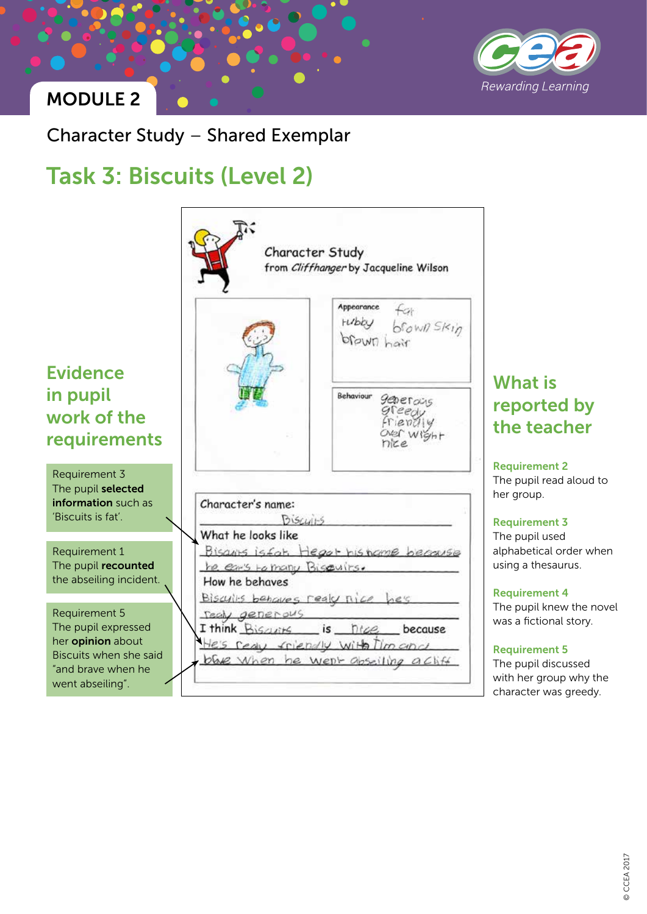

### MODULE 2

Character Study – Shared Exemplar

# Task 3: Biscuits (Level 2)



## What is reported by the teacher

Requirement 2 The pupil read aloud to her group.

#### Requirement 3

The pupil used alphabetical order when using a thesaurus.

#### Requirement 4

The pupil knew the novel was a fictional story.

#### Requirement 5

The pupil discussed with her group why the character was greedy.